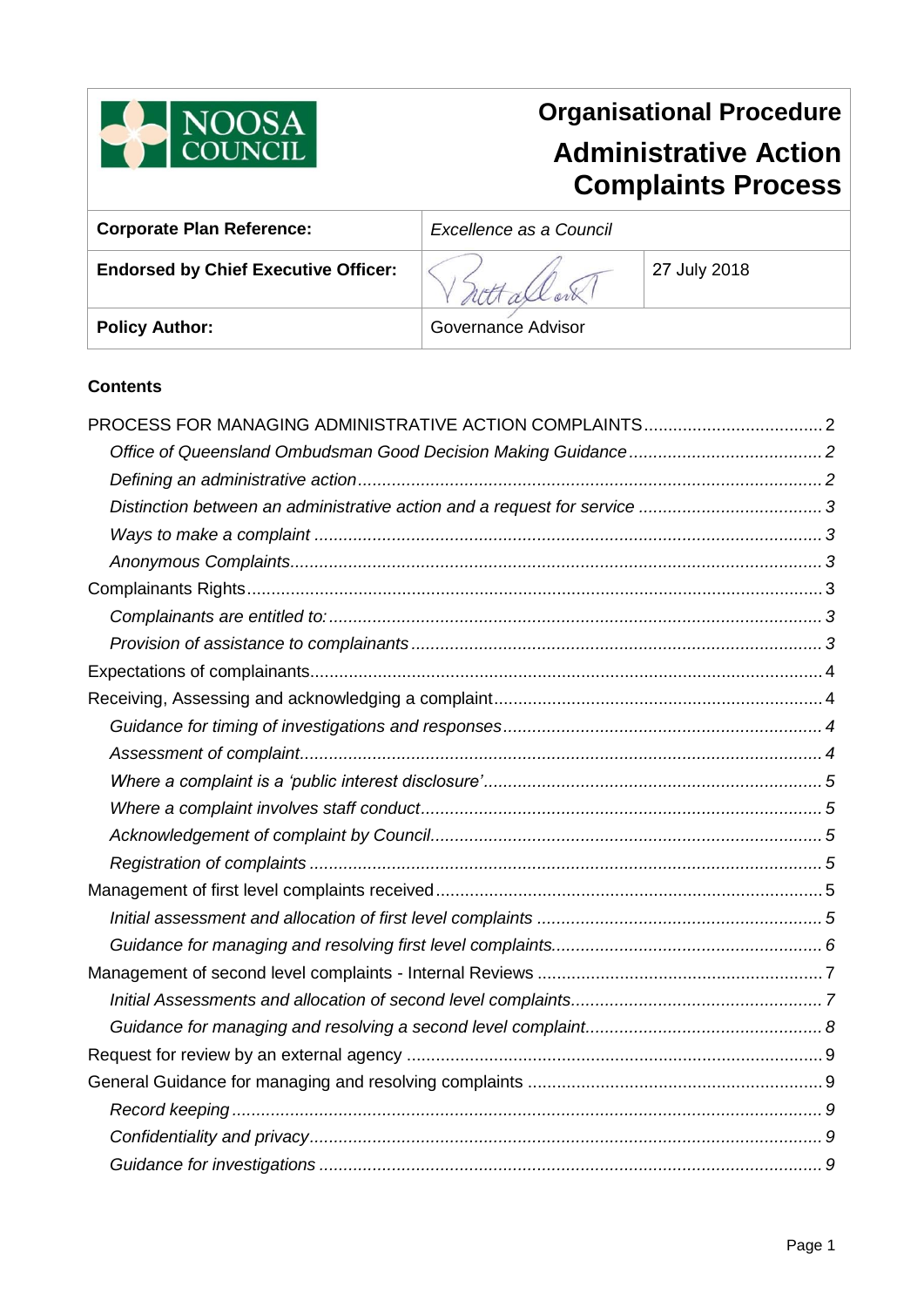

# **Organisational Procedure Administrative Action Complaints Process**

| <b>Corporate Plan Reference:</b>            | Excellence as a Council |              |
|---------------------------------------------|-------------------------|--------------|
| <b>Endorsed by Chief Executive Officer:</b> |                         | 27 July 2018 |
| <b>Policy Author:</b>                       | Governance Advisor      |              |

# **Contents**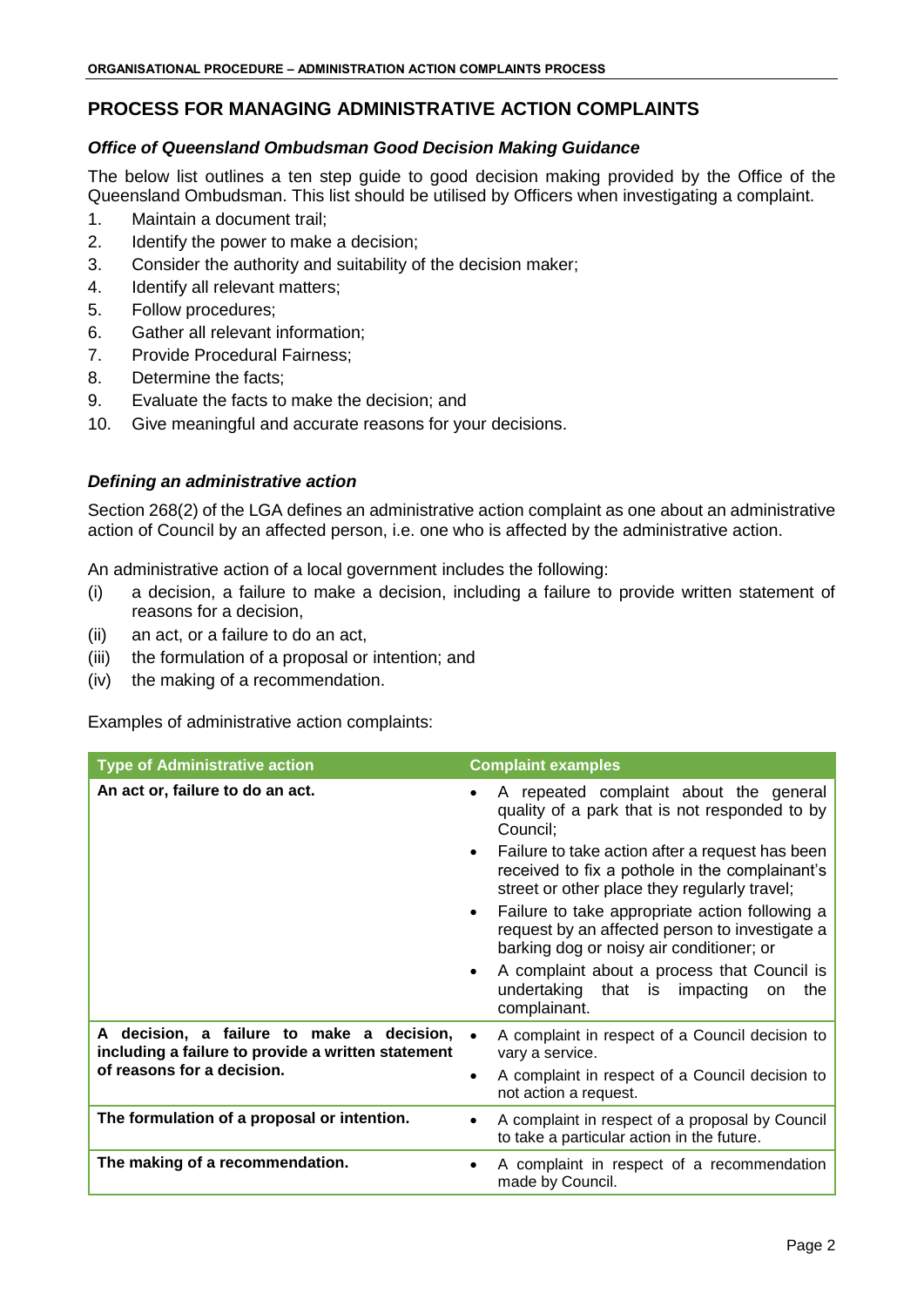# <span id="page-1-0"></span>**PROCESS FOR MANAGING ADMINISTRATIVE ACTION COMPLAINTS**

## <span id="page-1-1"></span>*Office of Queensland Ombudsman Good Decision Making Guidance*

The below list outlines a ten step guide to good decision making provided by the Office of the Queensland Ombudsman. This list should be utilised by Officers when investigating a complaint.

- 1. Maintain a document trail;
- 2. Identify the power to make a decision;
- 3. Consider the authority and suitability of the decision maker;
- 4. Identify all relevant matters;
- 5. Follow procedures;
- 6. Gather all relevant information;
- 7. Provide Procedural Fairness;
- 8. Determine the facts;
- 9. Evaluate the facts to make the decision; and
- 10. Give meaningful and accurate reasons for your decisions.

## <span id="page-1-2"></span>*Defining an administrative action*

Section 268(2) of the LGA defines an administrative action complaint as one about an administrative action of Council by an affected person, i.e. one who is affected by the administrative action.

An administrative action of a local government includes the following:

- (i) a decision, a failure to make a decision, including a failure to provide written statement of reasons for a decision,
- (ii) an act, or a failure to do an act,
- (iii) the formulation of a proposal or intention; and
- (iv) the making of a recommendation.

Examples of administrative action complaints:

| <b>Type of Administrative action</b>                                                                                          | <b>Complaint examples</b>                                                                                                                                                                                                                                                                                                                                                                                                                                                                                                                                              |
|-------------------------------------------------------------------------------------------------------------------------------|------------------------------------------------------------------------------------------------------------------------------------------------------------------------------------------------------------------------------------------------------------------------------------------------------------------------------------------------------------------------------------------------------------------------------------------------------------------------------------------------------------------------------------------------------------------------|
| An act or, failure to do an act.                                                                                              | A repeated complaint about the general<br>$\bullet$<br>quality of a park that is not responded to by<br>Council:<br>Failure to take action after a request has been<br>$\bullet$<br>received to fix a pothole in the complainant's<br>street or other place they regularly travel;<br>Failure to take appropriate action following a<br>$\bullet$<br>request by an affected person to investigate a<br>barking dog or noisy air conditioner; or<br>A complaint about a process that Council is<br>$\bullet$<br>undertaking that is impacting on<br>the<br>complainant. |
| A decision, a failure to make a decision,<br>including a failure to provide a written statement<br>of reasons for a decision. | A complaint in respect of a Council decision to<br>vary a service.<br>A complaint in respect of a Council decision to<br>$\bullet$<br>not action a request.                                                                                                                                                                                                                                                                                                                                                                                                            |
| The formulation of a proposal or intention.                                                                                   | A complaint in respect of a proposal by Council<br>to take a particular action in the future.                                                                                                                                                                                                                                                                                                                                                                                                                                                                          |
| The making of a recommendation.                                                                                               | A complaint in respect of a recommendation<br>made by Council.                                                                                                                                                                                                                                                                                                                                                                                                                                                                                                         |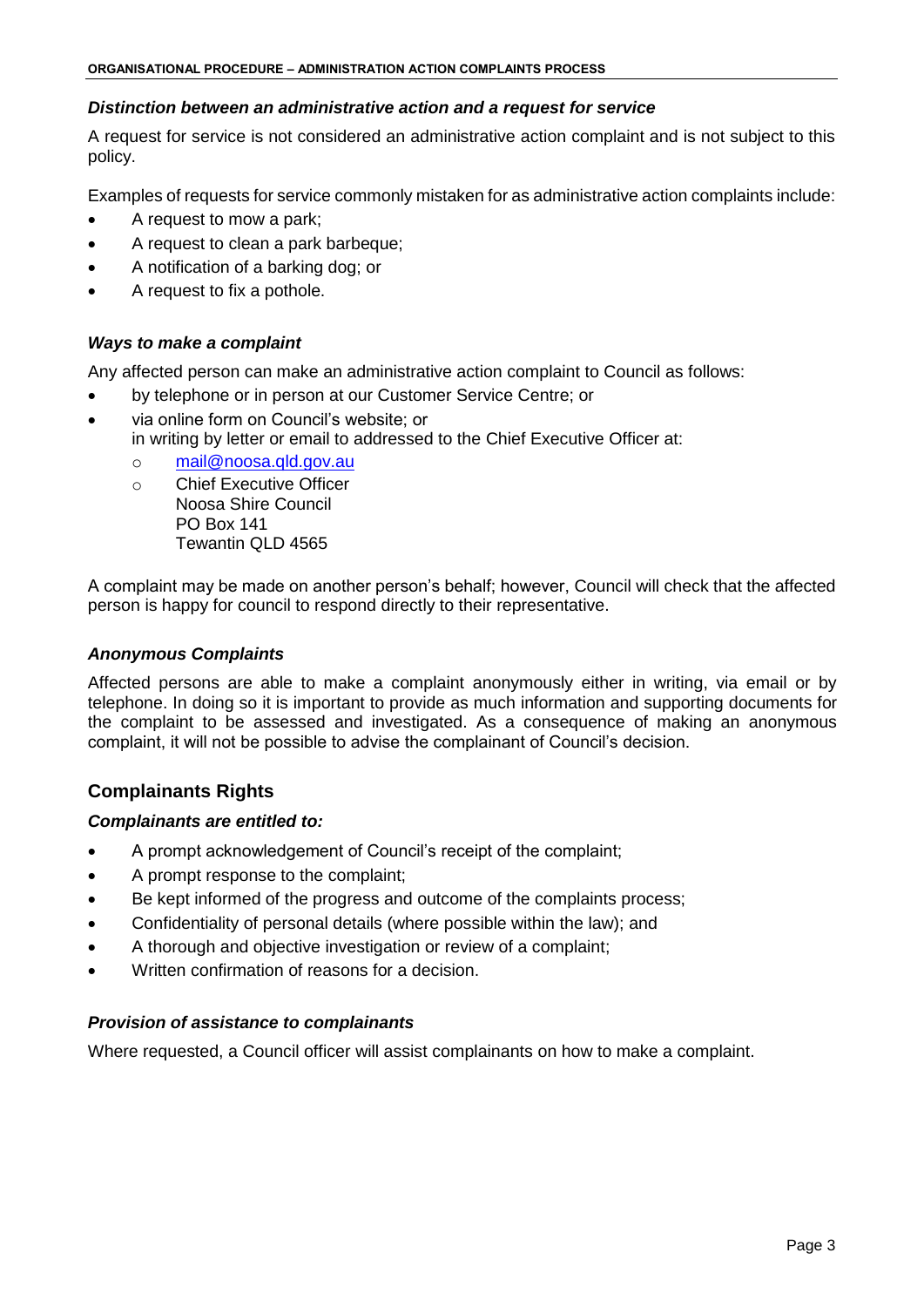## <span id="page-2-0"></span>*Distinction between an administrative action and a request for service*

A request for service is not considered an administrative action complaint and is not subject to this policy.

Examples of requests for service commonly mistaken for as administrative action complaints include:

- A request to mow a park;
- A request to clean a park barbeque;
- A notification of a barking dog; or
- A request to fix a pothole.

# <span id="page-2-1"></span>*Ways to make a complaint*

Any affected person can make an administrative action complaint to Council as follows:

- by telephone or in person at our Customer Service Centre; or
- via online form on Council's website; or in writing by letter or email to addressed to the Chief Executive Officer at:
	- o [mail@noosa.qld.gov.au](mailto:mail@noosa.qld.gov.au)
	- o Chief Executive Officer Noosa Shire Council PO Box 141 Tewantin QLD 4565

A complaint may be made on another person's behalf; however, Council will check that the affected person is happy for council to respond directly to their representative.

#### <span id="page-2-2"></span>*Anonymous Complaints*

Affected persons are able to make a complaint anonymously either in writing, via email or by telephone. In doing so it is important to provide as much information and supporting documents for the complaint to be assessed and investigated. As a consequence of making an anonymous complaint, it will not be possible to advise the complainant of Council's decision.

# <span id="page-2-3"></span>**Complainants Rights**

# <span id="page-2-4"></span>*Complainants are entitled to:*

- A prompt acknowledgement of Council's receipt of the complaint;
- A prompt response to the complaint;
- Be kept informed of the progress and outcome of the complaints process;
- Confidentiality of personal details (where possible within the law); and
- A thorough and objective investigation or review of a complaint;
- Written confirmation of reasons for a decision.

# <span id="page-2-5"></span>*Provision of assistance to complainants*

Where requested, a Council officer will assist complainants on how to make a complaint.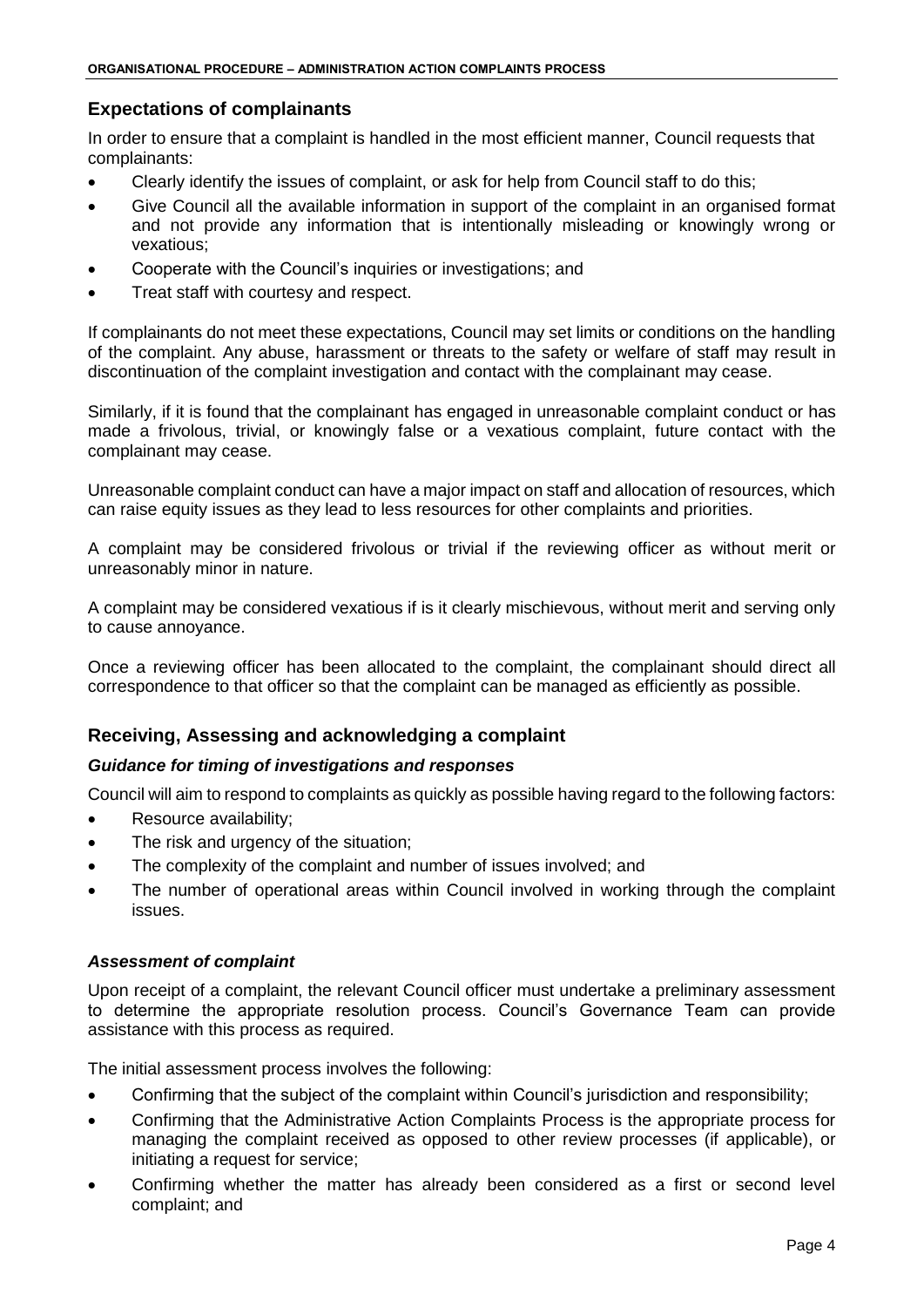# <span id="page-3-0"></span>**Expectations of complainants**

In order to ensure that a complaint is handled in the most efficient manner, Council requests that complainants:

- Clearly identify the issues of complaint, or ask for help from Council staff to do this;
- Give Council all the available information in support of the complaint in an organised format and not provide any information that is intentionally misleading or knowingly wrong or vexatious;
- Cooperate with the Council's inquiries or investigations; and
- Treat staff with courtesy and respect.

If complainants do not meet these expectations, Council may set limits or conditions on the handling of the complaint. Any abuse, harassment or threats to the safety or welfare of staff may result in discontinuation of the complaint investigation and contact with the complainant may cease.

Similarly, if it is found that the complainant has engaged in unreasonable complaint conduct or has made a frivolous, trivial, or knowingly false or a vexatious complaint, future contact with the complainant may cease.

Unreasonable complaint conduct can have a major impact on staff and allocation of resources, which can raise equity issues as they lead to less resources for other complaints and priorities.

A complaint may be considered frivolous or trivial if the reviewing officer as without merit or unreasonably minor in nature.

A complaint may be considered vexatious if is it clearly mischievous, without merit and serving only to cause annoyance.

Once a reviewing officer has been allocated to the complaint, the complainant should direct all correspondence to that officer so that the complaint can be managed as efficiently as possible.

# <span id="page-3-1"></span>**Receiving, Assessing and acknowledging a complaint**

# <span id="page-3-2"></span>*Guidance for timing of investigations and responses*

Council will aim to respond to complaints as quickly as possible having regard to the following factors:

- Resource availability;
- The risk and urgency of the situation;
- The complexity of the complaint and number of issues involved; and
- The number of operational areas within Council involved in working through the complaint issues.

#### <span id="page-3-3"></span>*Assessment of complaint*

Upon receipt of a complaint, the relevant Council officer must undertake a preliminary assessment to determine the appropriate resolution process. Council's Governance Team can provide assistance with this process as required.

The initial assessment process involves the following:

- Confirming that the subject of the complaint within Council's jurisdiction and responsibility;
- Confirming that the Administrative Action Complaints Process is the appropriate process for managing the complaint received as opposed to other review processes (if applicable), or initiating a request for service;
- Confirming whether the matter has already been considered as a first or second level complaint; and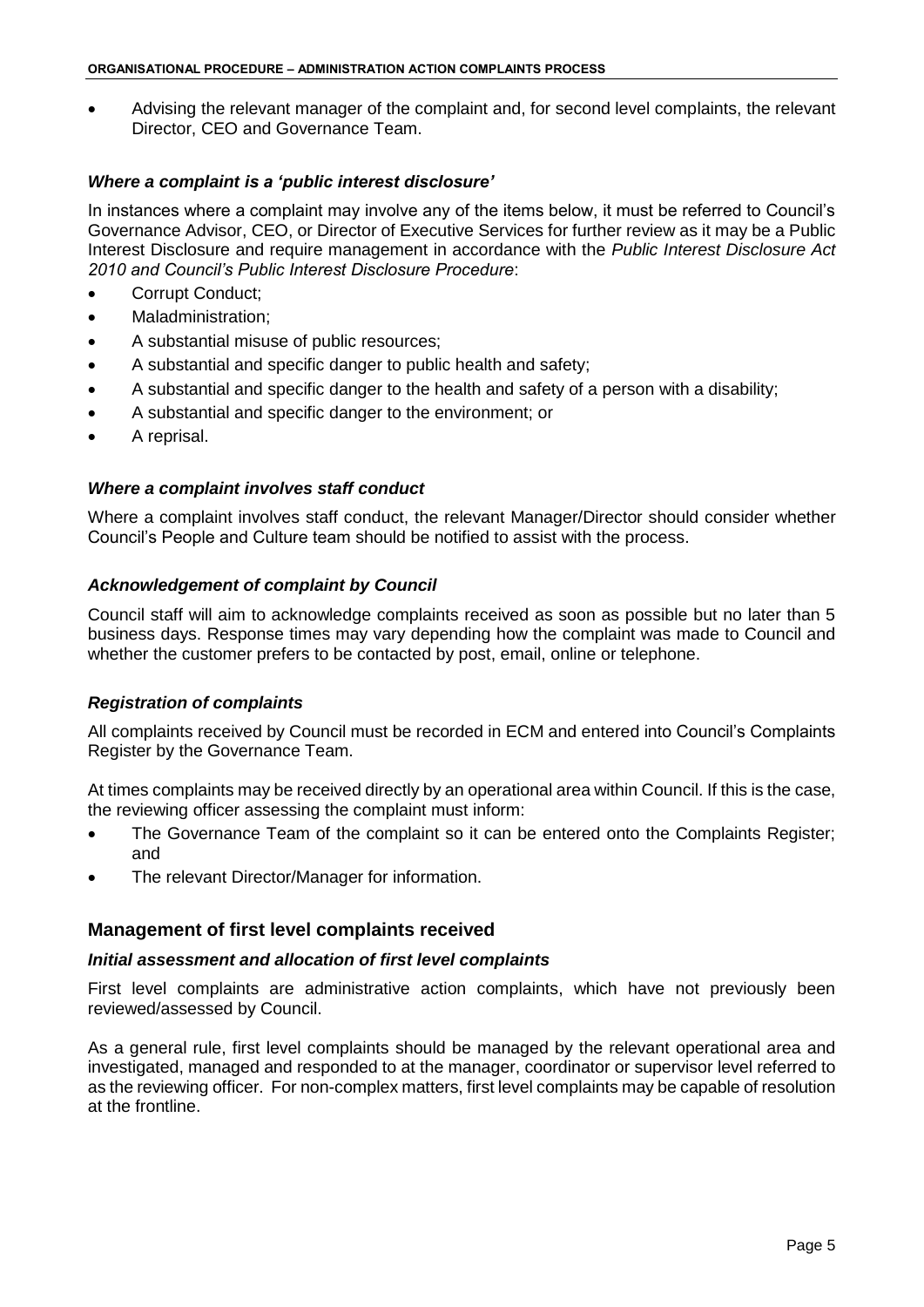Advising the relevant manager of the complaint and, for second level complaints, the relevant Director, CEO and Governance Team.

## <span id="page-4-0"></span>*Where a complaint is a 'public interest disclosure'*

In instances where a complaint may involve any of the items below, it must be referred to Council's Governance Advisor, CEO, or Director of Executive Services for further review as it may be a Public Interest Disclosure and require management in accordance with the *Public Interest Disclosure Act 2010 and Council's Public Interest Disclosure Procedure*:

- Corrupt Conduct:
- Maladministration;
- A substantial misuse of public resources;
- A substantial and specific danger to public health and safety;
- A substantial and specific danger to the health and safety of a person with a disability;
- A substantial and specific danger to the environment; or
- A reprisal.

#### <span id="page-4-1"></span>*Where a complaint involves staff conduct*

Where a complaint involves staff conduct, the relevant Manager/Director should consider whether Council's People and Culture team should be notified to assist with the process.

#### <span id="page-4-2"></span>*Acknowledgement of complaint by Council*

Council staff will aim to acknowledge complaints received as soon as possible but no later than 5 business days. Response times may vary depending how the complaint was made to Council and whether the customer prefers to be contacted by post, email, online or telephone.

#### <span id="page-4-3"></span>*Registration of complaints*

All complaints received by Council must be recorded in ECM and entered into Council's Complaints Register by the Governance Team.

At times complaints may be received directly by an operational area within Council. If this is the case, the reviewing officer assessing the complaint must inform:

- The Governance Team of the complaint so it can be entered onto the Complaints Register; and
- The relevant Director/Manager for information.

# <span id="page-4-4"></span>**Management of first level complaints received**

#### <span id="page-4-5"></span>*Initial assessment and allocation of first level complaints*

First level complaints are administrative action complaints, which have not previously been reviewed/assessed by Council.

As a general rule, first level complaints should be managed by the relevant operational area and investigated, managed and responded to at the manager, coordinator or supervisor level referred to as the reviewing officer. For non-complex matters, first level complaints may be capable of resolution at the frontline.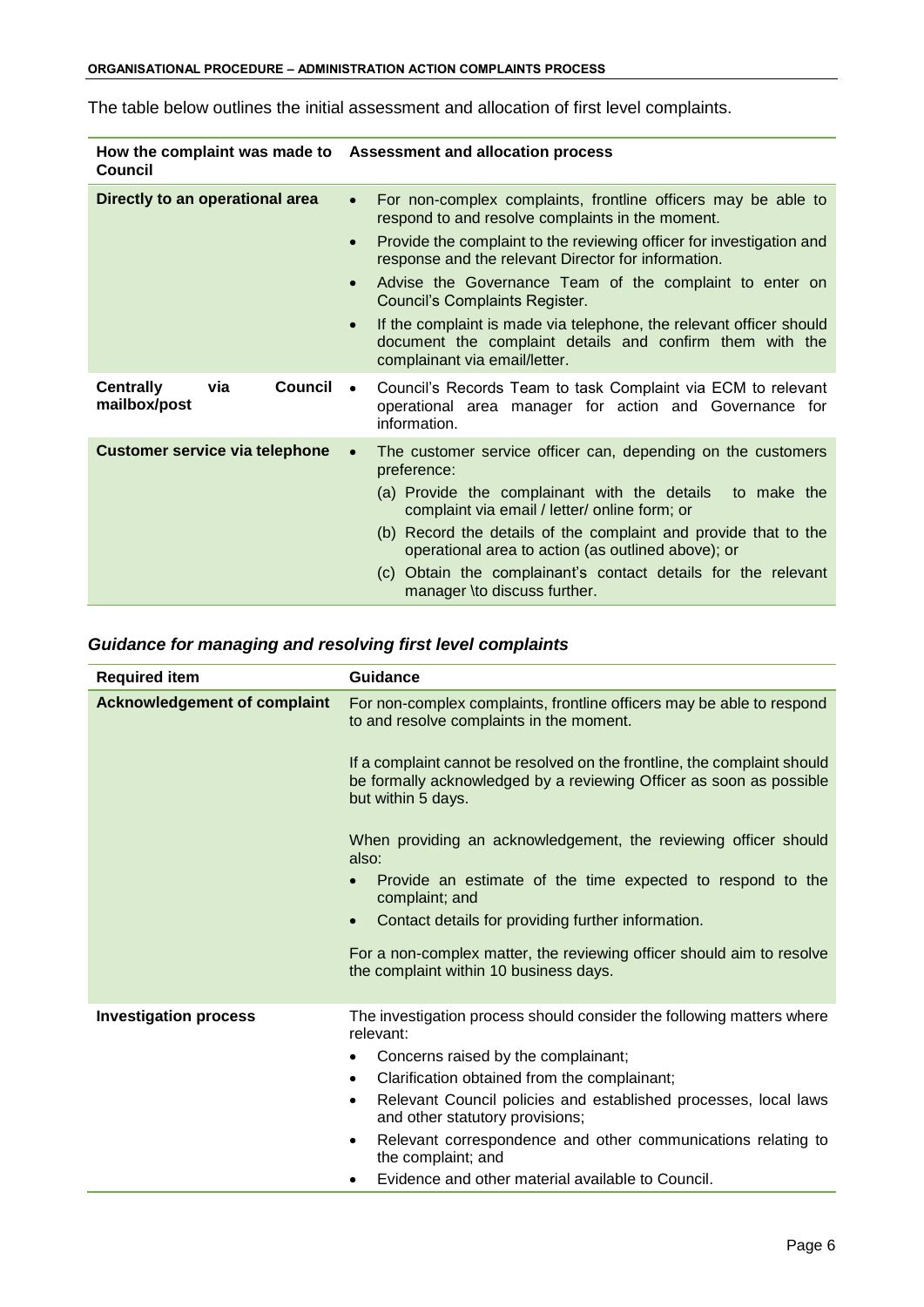| Council                                                   | How the complaint was made to Assessment and allocation process                                                                                                               |
|-----------------------------------------------------------|-------------------------------------------------------------------------------------------------------------------------------------------------------------------------------|
| Directly to an operational area                           | For non-complex complaints, frontline officers may be able to<br>$\bullet$<br>respond to and resolve complaints in the moment.                                                |
|                                                           | Provide the complaint to the reviewing officer for investigation and<br>$\bullet$<br>response and the relevant Director for information.                                      |
|                                                           | Advise the Governance Team of the complaint to enter on<br>$\bullet$<br>Council's Complaints Register.                                                                        |
|                                                           | If the complaint is made via telephone, the relevant officer should<br>$\bullet$<br>document the complaint details and confirm them with the<br>complainant via email/letter. |
| <b>Council</b><br><b>Centrally</b><br>via<br>mailbox/post | Council's Records Team to task Complaint via ECM to relevant<br>$\bullet$<br>operational area manager for action and Governance for<br>information.                           |
| <b>Customer service via telephone</b>                     | The customer service officer can, depending on the customers<br>$\bullet$<br>preference:                                                                                      |
|                                                           | (a) Provide the complainant with the details<br>to make the<br>complaint via email / letter/ online form; or                                                                  |
|                                                           | (b) Record the details of the complaint and provide that to the<br>operational area to action (as outlined above); or                                                         |
|                                                           | (c) Obtain the complainant's contact details for the relevant<br>manager \to discuss further.                                                                                 |

The table below outlines the initial assessment and allocation of first level complaints.

# <span id="page-5-0"></span>*Guidance for managing and resolving first level complaints*

| <b>Required item</b>                | Guidance                                                                                                                                                              |
|-------------------------------------|-----------------------------------------------------------------------------------------------------------------------------------------------------------------------|
| <b>Acknowledgement of complaint</b> | For non-complex complaints, frontline officers may be able to respond<br>to and resolve complaints in the moment.                                                     |
|                                     | If a complaint cannot be resolved on the frontline, the complaint should<br>be formally acknowledged by a reviewing Officer as soon as possible<br>but within 5 days. |
|                                     | When providing an acknowledgement, the reviewing officer should<br>also:                                                                                              |
|                                     | Provide an estimate of the time expected to respond to the<br>complaint; and                                                                                          |
|                                     | Contact details for providing further information.<br>$\bullet$                                                                                                       |
|                                     | For a non-complex matter, the reviewing officer should aim to resolve<br>the complaint within 10 business days.                                                       |
| <b>Investigation process</b>        | The investigation process should consider the following matters where<br>relevant:                                                                                    |
|                                     | Concerns raised by the complainant;<br>$\bullet$                                                                                                                      |
|                                     | Clarification obtained from the complainant;<br>$\bullet$                                                                                                             |
|                                     | Relevant Council policies and established processes, local laws<br>$\bullet$<br>and other statutory provisions;                                                       |
|                                     | Relevant correspondence and other communications relating to<br>$\bullet$<br>the complaint; and                                                                       |
|                                     | Evidence and other material available to Council.                                                                                                                     |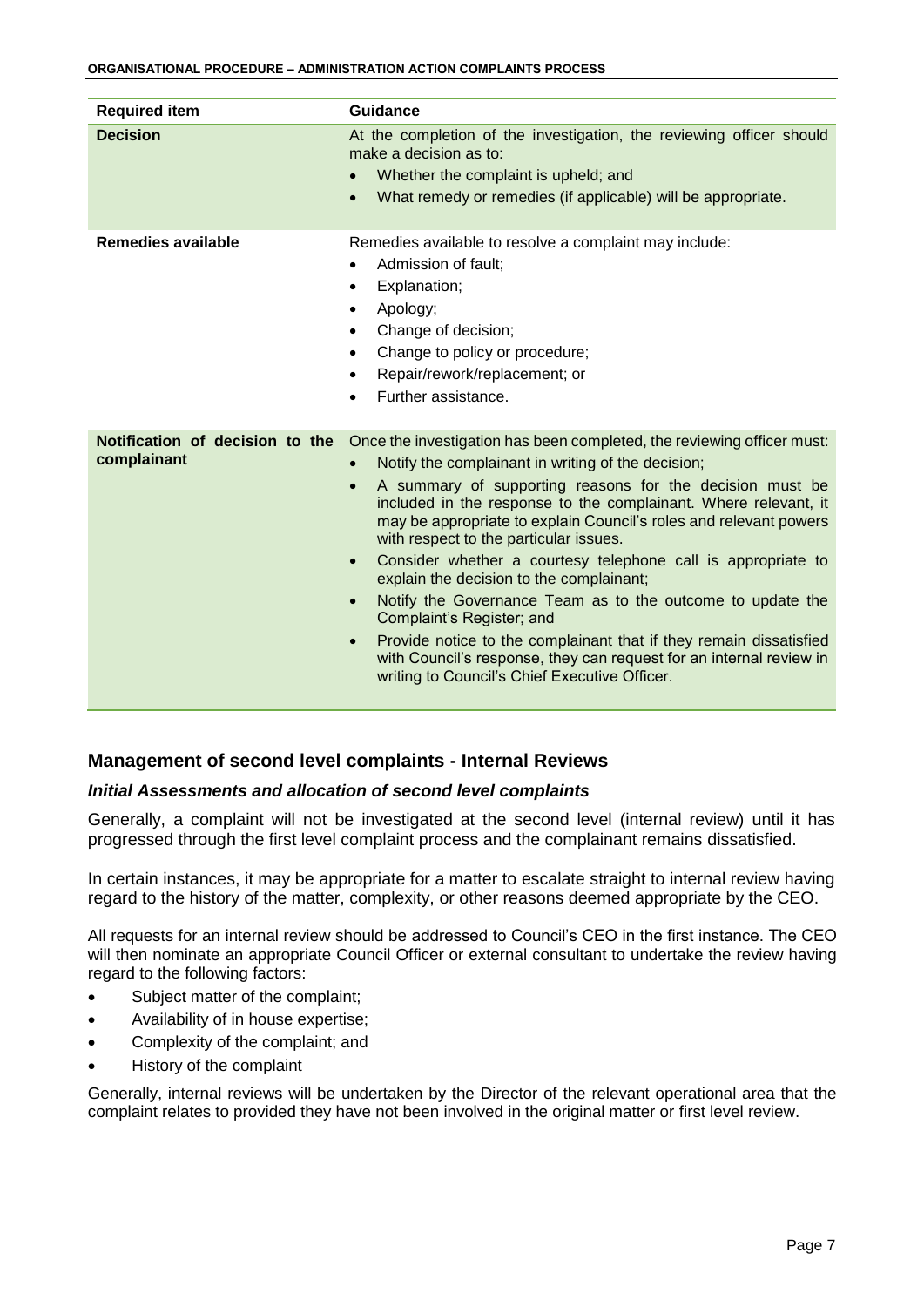| <b>Required item</b>                           | <b>Guidance</b>                                                                                                                                                                                                                                                                                                                                                                                                                                                                                                                                                                                                                                                                                                                                                                                                                                  |
|------------------------------------------------|--------------------------------------------------------------------------------------------------------------------------------------------------------------------------------------------------------------------------------------------------------------------------------------------------------------------------------------------------------------------------------------------------------------------------------------------------------------------------------------------------------------------------------------------------------------------------------------------------------------------------------------------------------------------------------------------------------------------------------------------------------------------------------------------------------------------------------------------------|
| <b>Decision</b>                                | At the completion of the investigation, the reviewing officer should<br>make a decision as to:<br>Whether the complaint is upheld; and<br>$\bullet$<br>What remedy or remedies (if applicable) will be appropriate.<br>$\bullet$                                                                                                                                                                                                                                                                                                                                                                                                                                                                                                                                                                                                                 |
| <b>Remedies available</b>                      | Remedies available to resolve a complaint may include:<br>Admission of fault;<br>$\bullet$<br>Explanation;<br>٠<br>Apology;<br>$\bullet$<br>Change of decision;<br>$\bullet$<br>Change to policy or procedure;<br>$\bullet$<br>Repair/rework/replacement; or<br>$\bullet$<br>Further assistance.<br>$\bullet$                                                                                                                                                                                                                                                                                                                                                                                                                                                                                                                                    |
| Notification of decision to the<br>complainant | Once the investigation has been completed, the reviewing officer must:<br>Notify the complainant in writing of the decision;<br>$\bullet$<br>A summary of supporting reasons for the decision must be<br>$\bullet$<br>included in the response to the complainant. Where relevant, it<br>may be appropriate to explain Council's roles and relevant powers<br>with respect to the particular issues.<br>Consider whether a courtesy telephone call is appropriate to<br>$\bullet$<br>explain the decision to the complainant;<br>Notify the Governance Team as to the outcome to update the<br>$\bullet$<br>Complaint's Register; and<br>Provide notice to the complainant that if they remain dissatisfied<br>$\bullet$<br>with Council's response, they can request for an internal review in<br>writing to Council's Chief Executive Officer. |

# <span id="page-6-0"></span>**Management of second level complaints - Internal Reviews**

#### <span id="page-6-1"></span>*Initial Assessments and allocation of second level complaints*

Generally, a complaint will not be investigated at the second level (internal review) until it has progressed through the first level complaint process and the complainant remains dissatisfied.

In certain instances, it may be appropriate for a matter to escalate straight to internal review having regard to the history of the matter, complexity, or other reasons deemed appropriate by the CEO.

All requests for an internal review should be addressed to Council's CEO in the first instance. The CEO will then nominate an appropriate Council Officer or external consultant to undertake the review having regard to the following factors:

- Subject matter of the complaint;
- Availability of in house expertise;
- Complexity of the complaint; and
- History of the complaint

Generally, internal reviews will be undertaken by the Director of the relevant operational area that the complaint relates to provided they have not been involved in the original matter or first level review.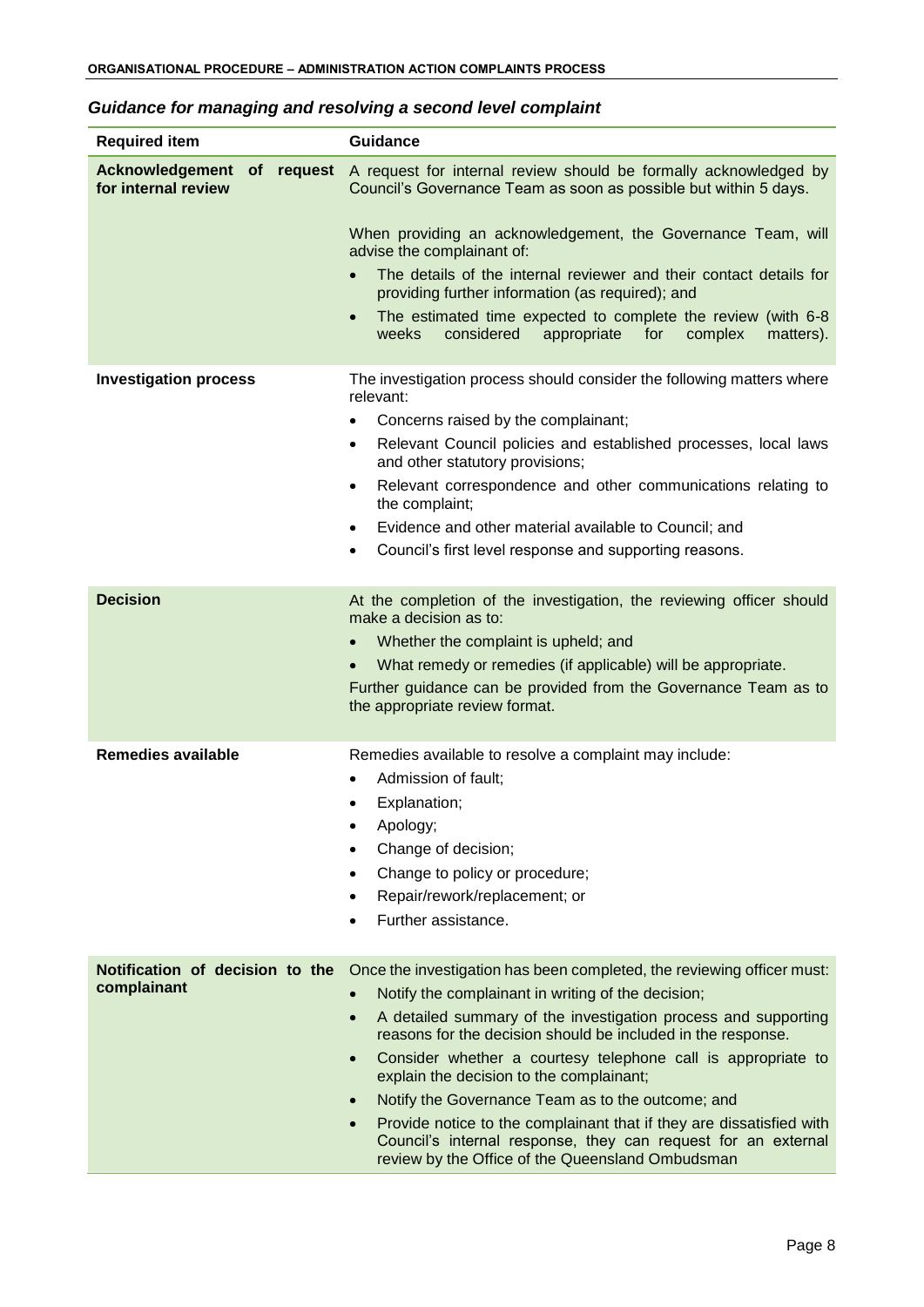<span id="page-7-0"></span>

|  |  | Guidance for managing and resolving a second level complaint |  |  |
|--|--|--------------------------------------------------------------|--|--|
|--|--|--------------------------------------------------------------|--|--|

| <b>Required item</b>                                        | <b>Guidance</b>                                                                                                                                                                                                                                                                                                                                                                                                                                                                                                                                                                                                                                                                               |
|-------------------------------------------------------------|-----------------------------------------------------------------------------------------------------------------------------------------------------------------------------------------------------------------------------------------------------------------------------------------------------------------------------------------------------------------------------------------------------------------------------------------------------------------------------------------------------------------------------------------------------------------------------------------------------------------------------------------------------------------------------------------------|
| <b>Acknowledgement</b><br>of request<br>for internal review | A request for internal review should be formally acknowledged by<br>Council's Governance Team as soon as possible but within 5 days.<br>When providing an acknowledgement, the Governance Team, will<br>advise the complainant of:<br>The details of the internal reviewer and their contact details for<br>providing further information (as required); and<br>The estimated time expected to complete the review (with 6-8<br>$\bullet$<br>considered<br>weeks<br>appropriate for<br>complex<br>matters).                                                                                                                                                                                   |
| <b>Investigation process</b>                                | The investigation process should consider the following matters where<br>relevant:<br>Concerns raised by the complainant;<br>$\bullet$<br>Relevant Council policies and established processes, local laws<br>$\bullet$<br>and other statutory provisions;<br>Relevant correspondence and other communications relating to<br>٠<br>the complaint;<br>Evidence and other material available to Council; and<br>$\bullet$<br>Council's first level response and supporting reasons.<br>$\bullet$                                                                                                                                                                                                 |
| <b>Decision</b>                                             | At the completion of the investigation, the reviewing officer should<br>make a decision as to:<br>Whether the complaint is upheld; and<br>$\bullet$<br>What remedy or remedies (if applicable) will be appropriate.<br>Further guidance can be provided from the Governance Team as to<br>the appropriate review format.                                                                                                                                                                                                                                                                                                                                                                      |
| <b>Remedies available</b>                                   | Remedies available to resolve a complaint may include:<br>Admission of fault:<br>$\bullet$<br>Explanation;<br>Apology;<br>Change of decision;<br>$\bullet$<br>Change to policy or procedure;<br>$\bullet$<br>Repair/rework/replacement; or<br>$\bullet$<br>Further assistance.<br>$\bullet$                                                                                                                                                                                                                                                                                                                                                                                                   |
| Notification of decision to the<br>complainant              | Once the investigation has been completed, the reviewing officer must:<br>Notify the complainant in writing of the decision;<br>$\bullet$<br>A detailed summary of the investigation process and supporting<br>$\bullet$<br>reasons for the decision should be included in the response.<br>Consider whether a courtesy telephone call is appropriate to<br>$\bullet$<br>explain the decision to the complainant;<br>Notify the Governance Team as to the outcome; and<br>$\bullet$<br>Provide notice to the complainant that if they are dissatisfied with<br>$\bullet$<br>Council's internal response, they can request for an external<br>review by the Office of the Queensland Ombudsman |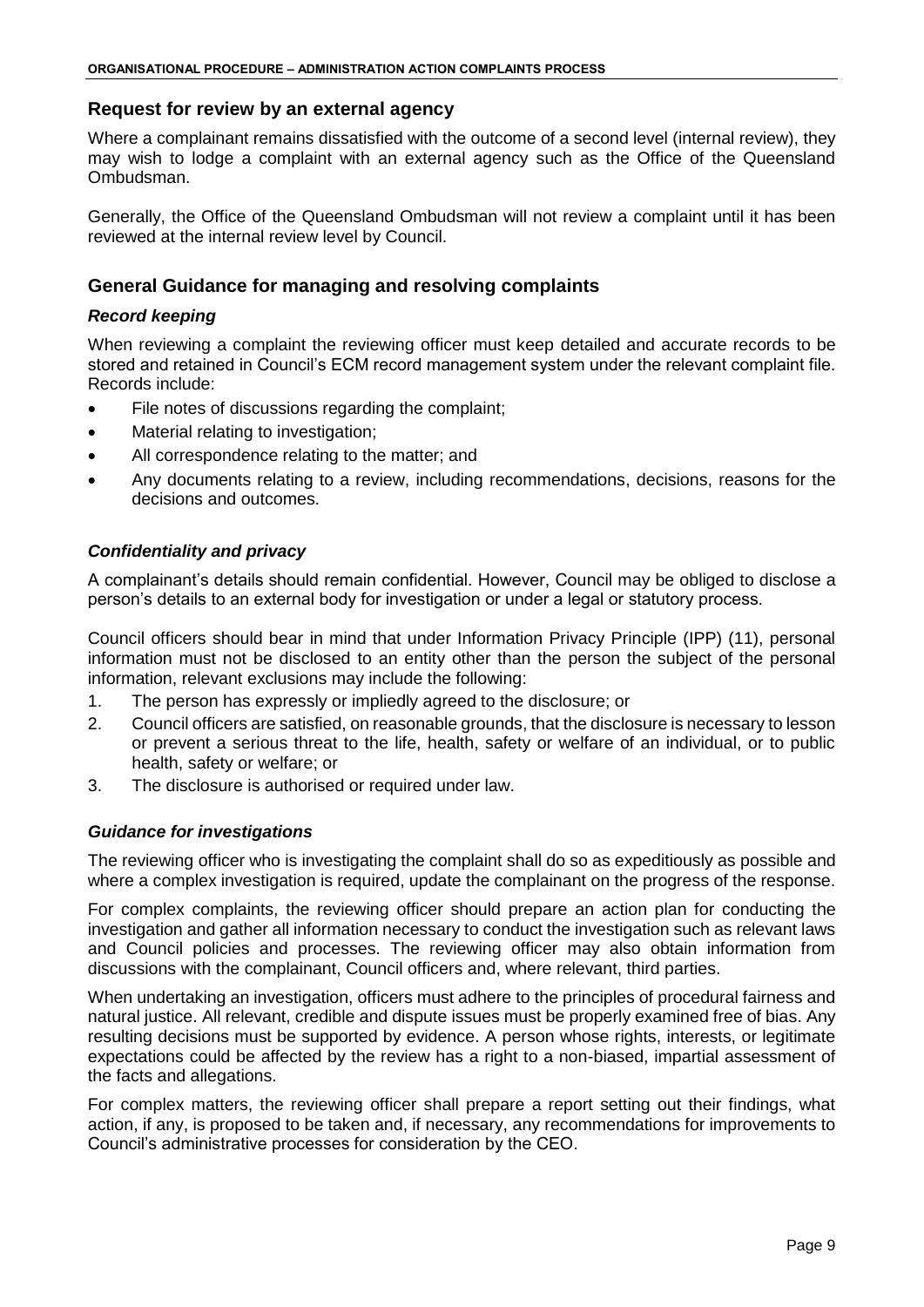# <span id="page-8-0"></span>**Request for review by an external agency**

Where a complainant remains dissatisfied with the outcome of a second level (internal review), they may wish to lodge a complaint with an external agency such as the Office of the Queensland Ombudsman.

Generally, the Office of the Queensland Ombudsman will not review a complaint until it has been reviewed at the internal review level by Council.

# <span id="page-8-1"></span>**General Guidance for managing and resolving complaints**

## <span id="page-8-2"></span>*Record keeping*

When reviewing a complaint the reviewing officer must keep detailed and accurate records to be stored and retained in Council's ECM record management system under the relevant complaint file. Records include:

- File notes of discussions regarding the complaint;
- Material relating to investigation;
- All correspondence relating to the matter; and
- Any documents relating to a review, including recommendations, decisions, reasons for the decisions and outcomes.

# <span id="page-8-3"></span>*Confidentiality and privacy*

A complainant's details should remain confidential. However, Council may be obliged to disclose a person's details to an external body for investigation or under a legal or statutory process.

Council officers should bear in mind that under Information Privacy Principle (IPP) (11), personal information must not be disclosed to an entity other than the person the subject of the personal information, relevant exclusions may include the following:

- 1. The person has expressly or impliedly agreed to the disclosure; or
- 2. Council officers are satisfied, on reasonable grounds, that the disclosure is necessary to lesson or prevent a serious threat to the life, health, safety or welfare of an individual, or to public health, safety or welfare; or
- 3. The disclosure is authorised or required under law.

# <span id="page-8-4"></span>*Guidance for investigations*

The reviewing officer who is investigating the complaint shall do so as expeditiously as possible and where a complex investigation is required, update the complainant on the progress of the response.

For complex complaints, the reviewing officer should prepare an action plan for conducting the investigation and gather all information necessary to conduct the investigation such as relevant laws and Council policies and processes. The reviewing officer may also obtain information from discussions with the complainant, Council officers and, where relevant, third parties.

When undertaking an investigation, officers must adhere to the principles of procedural fairness and natural justice. All relevant, credible and dispute issues must be properly examined free of bias. Any resulting decisions must be supported by evidence. A person whose rights, interests, or legitimate expectations could be affected by the review has a right to a non-biased, impartial assessment of the facts and allegations.

For complex matters, the reviewing officer shall prepare a report setting out their findings, what action, if any, is proposed to be taken and, if necessary, any recommendations for improvements to Council's administrative processes for consideration by the CEO.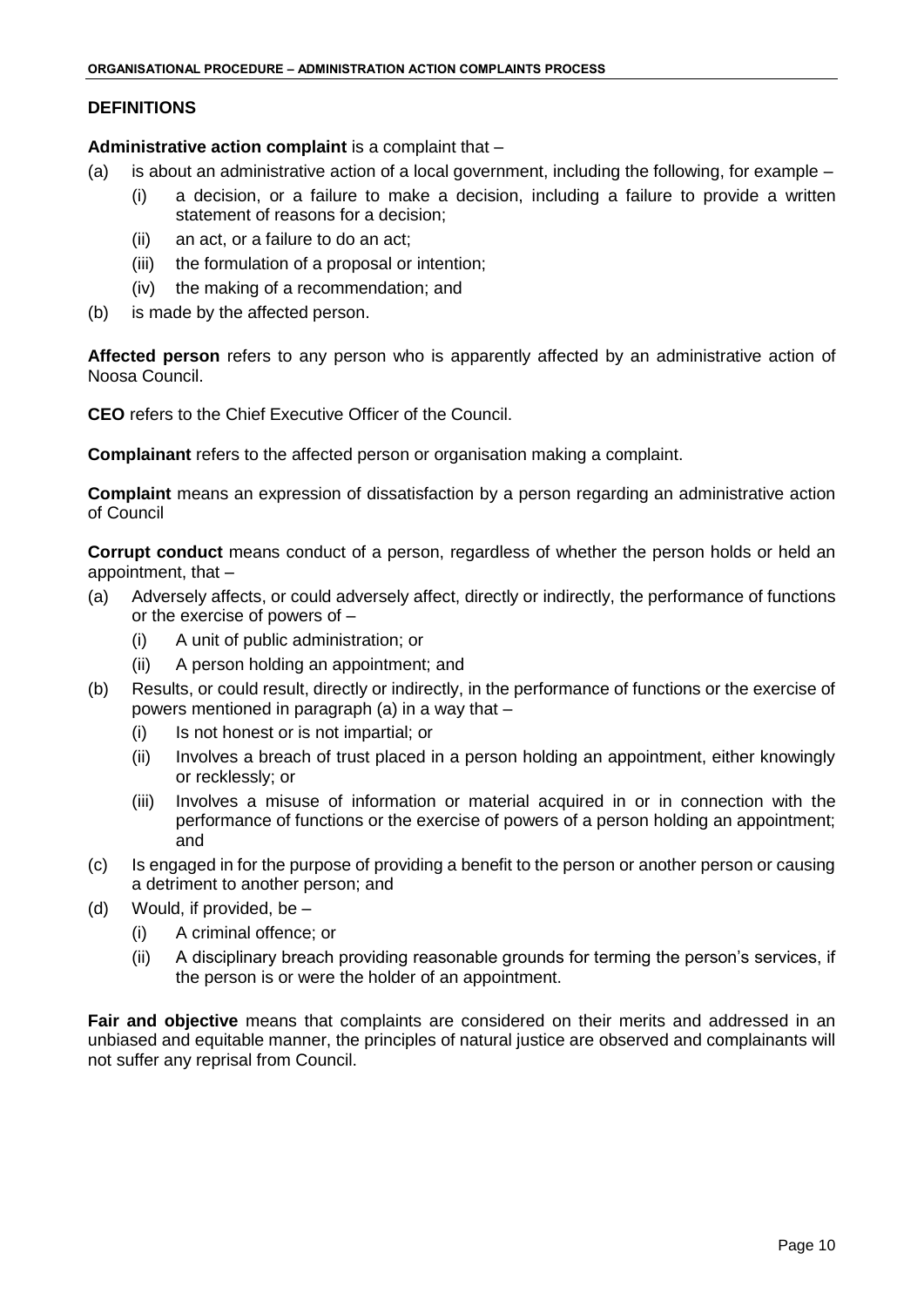## **DEFINITIONS**

**Administrative action complaint** is a complaint that –

- (a) is about an administrative action of a local government, including the following, for example
	- (i) a decision, or a failure to make a decision, including a failure to provide a written statement of reasons for a decision;
		- (ii) an act, or a failure to do an act;
		- (iii) the formulation of a proposal or intention;
		- (iv) the making of a recommendation; and
- (b) is made by the affected person.

**Affected person** refers to any person who is apparently affected by an administrative action of Noosa Council.

**CEO** refers to the Chief Executive Officer of the Council.

**Complainant** refers to the affected person or organisation making a complaint.

**Complaint** means an expression of dissatisfaction by a person regarding an administrative action of Council

**Corrupt conduct** means conduct of a person, regardless of whether the person holds or held an appointment, that –

- (a) Adversely affects, or could adversely affect, directly or indirectly, the performance of functions or the exercise of powers of –
	- (i) A unit of public administration; or
	- (ii) A person holding an appointment; and
- (b) Results, or could result, directly or indirectly, in the performance of functions or the exercise of powers mentioned in paragraph (a) in a way that –
	- (i) Is not honest or is not impartial; or
	- (ii) Involves a breach of trust placed in a person holding an appointment, either knowingly or recklessly; or
	- (iii) Involves a misuse of information or material acquired in or in connection with the performance of functions or the exercise of powers of a person holding an appointment; and
- (c) Is engaged in for the purpose of providing a benefit to the person or another person or causing a detriment to another person; and
- (d) Would, if provided, be  $-$ 
	- (i) A criminal offence; or
	- (ii) A disciplinary breach providing reasonable grounds for terming the person's services, if the person is or were the holder of an appointment.

**Fair and objective** means that complaints are considered on their merits and addressed in an unbiased and equitable manner, the principles of natural justice are observed and complainants will not suffer any reprisal from Council.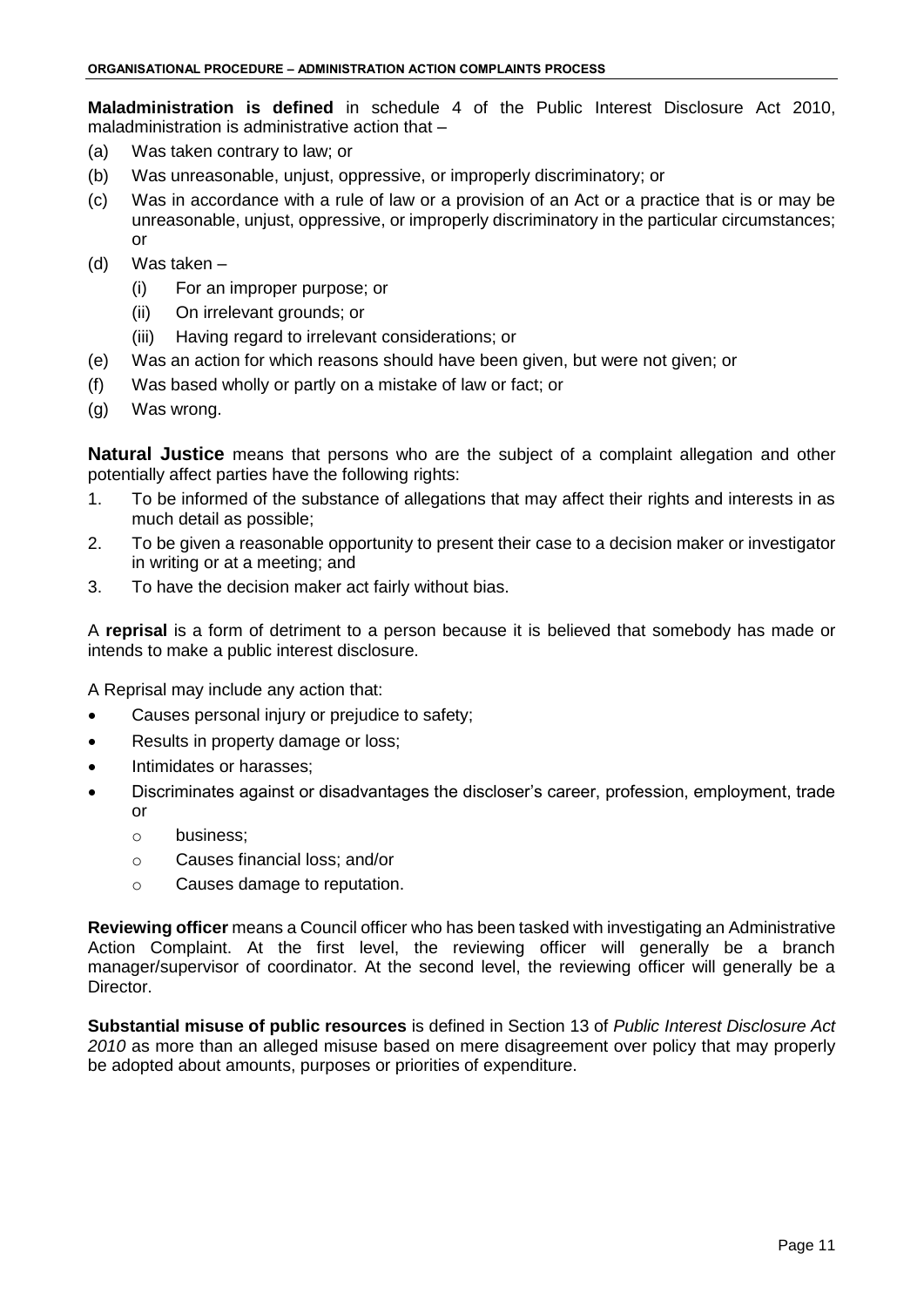**Maladministration is defined** in schedule 4 of the Public Interest Disclosure Act 2010, maladministration is administrative action that –

- (a) Was taken contrary to law; or
- (b) Was unreasonable, unjust, oppressive, or improperly discriminatory; or
- (c) Was in accordance with a rule of law or a provision of an Act or a practice that is or may be unreasonable, unjust, oppressive, or improperly discriminatory in the particular circumstances; or
- (d) Was taken
	- (i) For an improper purpose; or
	- (ii) On irrelevant grounds; or
	- (iii) Having regard to irrelevant considerations; or
- (e) Was an action for which reasons should have been given, but were not given; or
- (f) Was based wholly or partly on a mistake of law or fact; or
- (g) Was wrong.

**Natural Justice** means that persons who are the subject of a complaint allegation and other potentially affect parties have the following rights:

- 1. To be informed of the substance of allegations that may affect their rights and interests in as much detail as possible;
- 2. To be given a reasonable opportunity to present their case to a decision maker or investigator in writing or at a meeting; and
- 3. To have the decision maker act fairly without bias.

A **reprisal** is a form of detriment to a person because it is believed that somebody has made or intends to make a public interest disclosure.

A Reprisal may include any action that:

- Causes personal injury or prejudice to safety;
- Results in property damage or loss;
- Intimidates or harasses;
- Discriminates against or disadvantages the discloser's career, profession, employment, trade or
	- o business;
	- o Causes financial loss; and/or
	- o Causes damage to reputation.

**Reviewing officer** means a Council officer who has been tasked with investigating an Administrative Action Complaint. At the first level, the reviewing officer will generally be a branch manager/supervisor of coordinator. At the second level, the reviewing officer will generally be a Director.

**Substantial misuse of public resources** is defined in Section 13 of *Public Interest Disclosure Act 2010* as more than an alleged misuse based on mere disagreement over policy that may properly be adopted about amounts, purposes or priorities of expenditure.